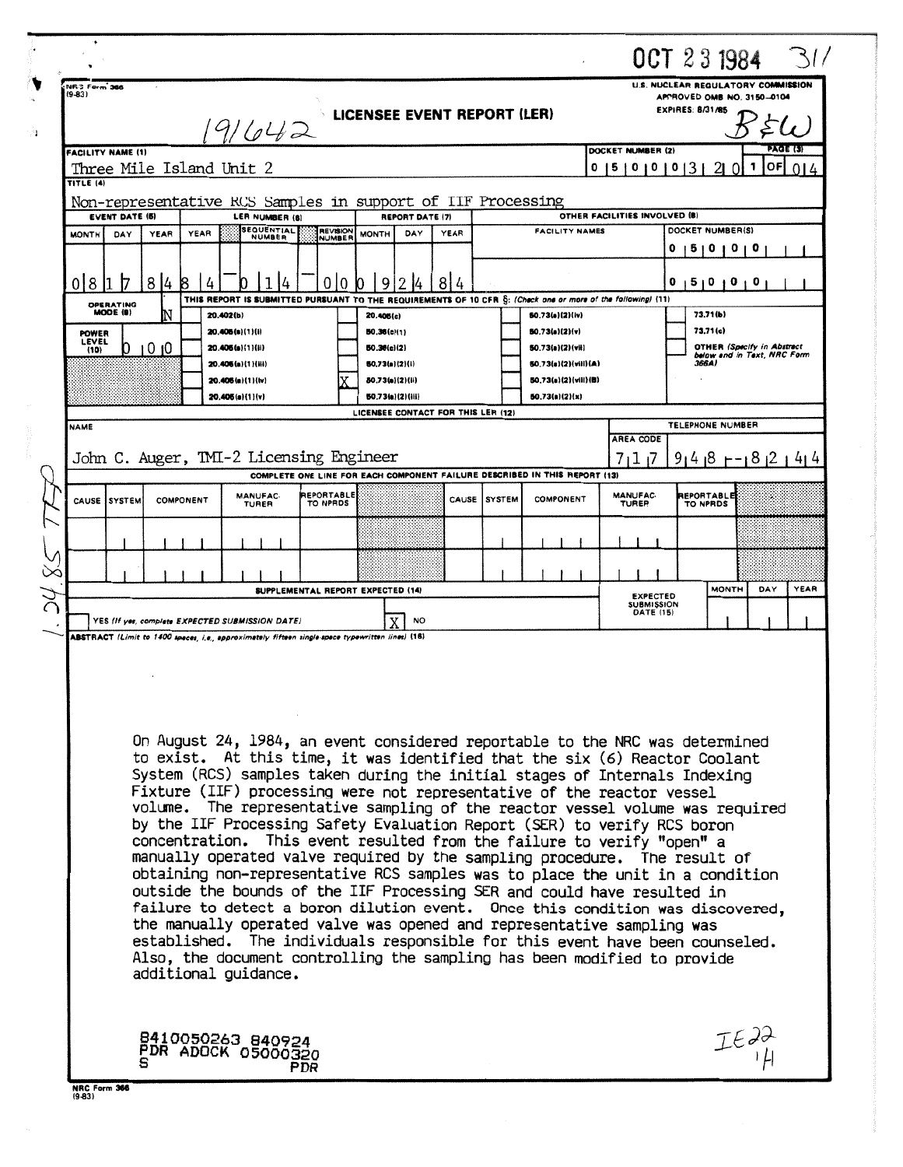|   |                              |                          |                    |           |                                                                                                                                                                                                                                                                                                                                                                                                                                                                                                                                                                                                                                                                                                                                                                                                                                                                                                                                                                                                                                                                                                                                                   |                                   |                                   |                        |                                    |               |                                                                            |                                                |   | OCT 23 1984                                                                                        |                                                                  |          |
|---|------------------------------|--------------------------|--------------------|-----------|---------------------------------------------------------------------------------------------------------------------------------------------------------------------------------------------------------------------------------------------------------------------------------------------------------------------------------------------------------------------------------------------------------------------------------------------------------------------------------------------------------------------------------------------------------------------------------------------------------------------------------------------------------------------------------------------------------------------------------------------------------------------------------------------------------------------------------------------------------------------------------------------------------------------------------------------------------------------------------------------------------------------------------------------------------------------------------------------------------------------------------------------------|-----------------------------------|-----------------------------------|------------------------|------------------------------------|---------------|----------------------------------------------------------------------------|------------------------------------------------|---|----------------------------------------------------------------------------------------------------|------------------------------------------------------------------|----------|
|   | NR3 Form 366<br>$(9-83)$     |                          |                    |           |                                                                                                                                                                                                                                                                                                                                                                                                                                                                                                                                                                                                                                                                                                                                                                                                                                                                                                                                                                                                                                                                                                                                                   |                                   |                                   |                        | <b>LICENSEE EVENT REPORT (LER)</b> |               |                                                                            |                                                |   | <b>U.S. NUCLEAR REGULATORY COMMISSION</b><br>APPROVED OMB NO. 3150-0104<br><b>EXPIRES: 8/31/85</b> |                                                                  |          |
|   |                              |                          |                    |           | (9/642                                                                                                                                                                                                                                                                                                                                                                                                                                                                                                                                                                                                                                                                                                                                                                                                                                                                                                                                                                                                                                                                                                                                            |                                   |                                   |                        |                                    |               |                                                                            |                                                |   |                                                                                                    |                                                                  | PAGE (3) |
|   |                              | <b>FACILITY NAME (1)</b> |                    |           | Three Mile Island Unit 2                                                                                                                                                                                                                                                                                                                                                                                                                                                                                                                                                                                                                                                                                                                                                                                                                                                                                                                                                                                                                                                                                                                          |                                   |                                   |                        |                                    |               |                                                                            | DOCKET NUMBER (2)<br>0 <sub>10</sub><br>0<br>5 | 0 |                                                                                                    | ОF<br>1                                                          |          |
|   | TITLE (4)                    |                          |                    |           |                                                                                                                                                                                                                                                                                                                                                                                                                                                                                                                                                                                                                                                                                                                                                                                                                                                                                                                                                                                                                                                                                                                                                   |                                   |                                   |                        |                                    |               |                                                                            |                                                |   |                                                                                                    |                                                                  |          |
|   |                              | <b>EVENT DATE (5)</b>    |                    |           | Non-representative RCS Samples in support of IIF Processing<br>LER NUMBER (B)                                                                                                                                                                                                                                                                                                                                                                                                                                                                                                                                                                                                                                                                                                                                                                                                                                                                                                                                                                                                                                                                     |                                   |                                   | <b>REPORT DATE (7)</b> |                                    |               |                                                                            | OTHER FACILITIES INVOLVED (B)                  |   |                                                                                                    |                                                                  |          |
|   | <b>MONTH</b>                 | DAY                      | YEAR               | YEAR      | <b>SEQUENTIAL</b><br>NUMBER                                                                                                                                                                                                                                                                                                                                                                                                                                                                                                                                                                                                                                                                                                                                                                                                                                                                                                                                                                                                                                                                                                                       | <b>REVISION</b><br>NUMBER         | <b>MONTH</b>                      | DAY                    | YEAR                               |               | <b>FACILITY NAMES</b>                                                      |                                                |   | DOCKET NUMBER(S)                                                                                   |                                                                  |          |
|   |                              |                          |                    |           |                                                                                                                                                                                                                                                                                                                                                                                                                                                                                                                                                                                                                                                                                                                                                                                                                                                                                                                                                                                                                                                                                                                                                   |                                   |                                   |                        |                                    |               |                                                                            |                                                | U | 0<br>ו ט<br>U                                                                                      |                                                                  |          |
|   | 0 8                          |                          | 8<br>$\frac{1}{4}$ |           | THIS REPORT IS SUBMITTED PURSUANT TO THE REQUIREMENTS OF 10 CFR S: (Check one or more of the following) (11)                                                                                                                                                                                                                                                                                                                                                                                                                                                                                                                                                                                                                                                                                                                                                                                                                                                                                                                                                                                                                                      | 0<br>0                            | 9                                 |                        | 814                                |               |                                                                            |                                                | 0 | 51010                                                                                              | o                                                                |          |
|   |                              | OPERATING<br>MODE (9)    |                    |           | 20.402(b)                                                                                                                                                                                                                                                                                                                                                                                                                                                                                                                                                                                                                                                                                                                                                                                                                                                                                                                                                                                                                                                                                                                                         |                                   | 20.406(c)                         |                        |                                    |               | 50.73(a)(2)(iv)                                                            |                                                |   | 73,71(b)                                                                                           |                                                                  |          |
|   | <b>POWER</b><br><b>LEVEL</b> |                          |                    |           | 20.406(n)(1)(i)                                                                                                                                                                                                                                                                                                                                                                                                                                                                                                                                                                                                                                                                                                                                                                                                                                                                                                                                                                                                                                                                                                                                   |                                   | 50.36(c)(1)                       |                        |                                    |               | 50.73(a)(2)(v)                                                             |                                                |   | 73.71(c)                                                                                           |                                                                  |          |
|   | (10)                         |                          | 0 IO               |           | 20.406(a)(1)(ii)                                                                                                                                                                                                                                                                                                                                                                                                                                                                                                                                                                                                                                                                                                                                                                                                                                                                                                                                                                                                                                                                                                                                  |                                   | 50.36(c)(2)                       |                        |                                    |               | 50.73(a)(2)(vii)<br>50.73(a)(2)(viii)(A)                                   |                                                |   | 366A)                                                                                              | <b>OTHER (Specify in Abstract</b><br>below and in Text, NRC Form |          |
|   |                              |                          |                    |           | 20.406(a)(1)(iii)<br>20.405(a)(1)(lv)                                                                                                                                                                                                                                                                                                                                                                                                                                                                                                                                                                                                                                                                                                                                                                                                                                                                                                                                                                                                                                                                                                             |                                   | 50.73(a)(2)(i)<br>60.73(a)(2)(ii) |                        |                                    |               | 50.73(a)(2)(viii)(B)                                                       |                                                |   |                                                                                                    |                                                                  |          |
|   |                              |                          |                    |           | 20.405(a)(1)(v)                                                                                                                                                                                                                                                                                                                                                                                                                                                                                                                                                                                                                                                                                                                                                                                                                                                                                                                                                                                                                                                                                                                                   |                                   |                                   | 50.73(a)(2)(iii)       |                                    |               | 50.73(a)(2)(x)                                                             |                                                |   |                                                                                                    |                                                                  |          |
|   |                              |                          |                    |           |                                                                                                                                                                                                                                                                                                                                                                                                                                                                                                                                                                                                                                                                                                                                                                                                                                                                                                                                                                                                                                                                                                                                                   |                                   |                                   |                        | LICENSEE CONTACT FOR THIS LER (12) |               |                                                                            |                                                |   | <b>TELEPHONE NUMBER</b>                                                                            |                                                                  |          |
|   | <b>NAME</b>                  |                          |                    |           |                                                                                                                                                                                                                                                                                                                                                                                                                                                                                                                                                                                                                                                                                                                                                                                                                                                                                                                                                                                                                                                                                                                                                   |                                   |                                   |                        |                                    |               |                                                                            | <b>AREA CODE</b>                               |   |                                                                                                    |                                                                  |          |
|   |                              |                          |                    |           | John C. Auger, TMI-2 Licensing Engineer                                                                                                                                                                                                                                                                                                                                                                                                                                                                                                                                                                                                                                                                                                                                                                                                                                                                                                                                                                                                                                                                                                           |                                   |                                   |                        |                                    |               |                                                                            | 7<br>11                                        |   | $91418$ $-18121414$                                                                                |                                                                  |          |
|   |                              |                          |                    |           |                                                                                                                                                                                                                                                                                                                                                                                                                                                                                                                                                                                                                                                                                                                                                                                                                                                                                                                                                                                                                                                                                                                                                   |                                   |                                   |                        |                                    |               | COMPLETE ONE LINE FOR EACH COMPONENT FAILURE DESCRIBED IN THIS REPORT (13) |                                                |   |                                                                                                    |                                                                  |          |
|   | CAUSE                        | <b>SYSTEM</b>            |                    | COMPONENT | <b>MANUFAC-</b><br>TURER                                                                                                                                                                                                                                                                                                                                                                                                                                                                                                                                                                                                                                                                                                                                                                                                                                                                                                                                                                                                                                                                                                                          | <b>REPORTABLE</b><br>TO NPRDS     |                                   |                        | CAUSE                              | <b>SYSTEM</b> | <b>COMPONENT</b>                                                           | <b>MANUFAC-</b><br>TURER                       |   | REPORTABLE<br>TO NPRDS                                                                             |                                                                  |          |
|   |                              |                          |                    |           |                                                                                                                                                                                                                                                                                                                                                                                                                                                                                                                                                                                                                                                                                                                                                                                                                                                                                                                                                                                                                                                                                                                                                   |                                   |                                   |                        |                                    |               |                                                                            |                                                |   |                                                                                                    |                                                                  |          |
|   |                              |                          |                    |           |                                                                                                                                                                                                                                                                                                                                                                                                                                                                                                                                                                                                                                                                                                                                                                                                                                                                                                                                                                                                                                                                                                                                                   |                                   |                                   |                        |                                    |               |                                                                            |                                                |   |                                                                                                    |                                                                  |          |
|   |                              |                          |                    |           |                                                                                                                                                                                                                                                                                                                                                                                                                                                                                                                                                                                                                                                                                                                                                                                                                                                                                                                                                                                                                                                                                                                                                   | SUPPLEMENTAL REPORT EXPECTED (14) |                                   |                        |                                    |               |                                                                            | <b>EXPECTED</b>                                |   | <b>MONTH</b>                                                                                       | DAY                                                              | YEAR     |
| C |                              |                          |                    |           | YES (If yes, complete EXPECTED SUBMISSION DATE)                                                                                                                                                                                                                                                                                                                                                                                                                                                                                                                                                                                                                                                                                                                                                                                                                                                                                                                                                                                                                                                                                                   |                                   |                                   | <b>NO</b>              |                                    |               |                                                                            | <b>SUBMISSION</b><br><b>DATE (15)</b>          |   |                                                                                                    |                                                                  |          |
|   |                              |                          |                    |           | ABSTRACT (Limit to 1400 spaces, i.e., approximately fifteen single-space typewritten lines) (18)                                                                                                                                                                                                                                                                                                                                                                                                                                                                                                                                                                                                                                                                                                                                                                                                                                                                                                                                                                                                                                                  |                                   |                                   |                        |                                    |               |                                                                            |                                                |   |                                                                                                    |                                                                  |          |
|   |                              |                          |                    |           | On August 24, 1984, an event considered reportable to the NRC was determined<br>to exist. At this time, it was identified that the six (6) Reactor Coolant<br>System (RCS) samples taken during the initial stages of Internals Indexing<br>Fixture (IIF) processing were not representative of the reactor vessel<br>volume. The representative sampling of the reactor vessel volume was required<br>by the IIF Processing Safety Evaluation Report (SER) to verify RCS boron<br>concentration. This event resulted from the failure to verify "open" a<br>manually operated valve required by the sampling procedure. The result of<br>obtaining non-representative RCS samples was to place the unit in a condition<br>outside the bounds of the IIF Processing SER and could have resulted in<br>failure to detect a boron dilution event. Once this condition was discovered,<br>the manually operated valve was opened and representative sampling was<br>established. The individuals responsible for this event have been counseled.<br>Also, the document controlling the sampling has been modified to provide<br>additional guidance. |                                   |                                   |                        |                                    |               |                                                                            |                                                |   |                                                                                                    |                                                                  |          |
|   |                              |                          |                    |           | 8410050263 840924<br>PDR ADOCK 05000320                                                                                                                                                                                                                                                                                                                                                                                                                                                                                                                                                                                                                                                                                                                                                                                                                                                                                                                                                                                                                                                                                                           | PDR                               |                                   |                        |                                    |               |                                                                            |                                                |   |                                                                                                    |                                                                  |          |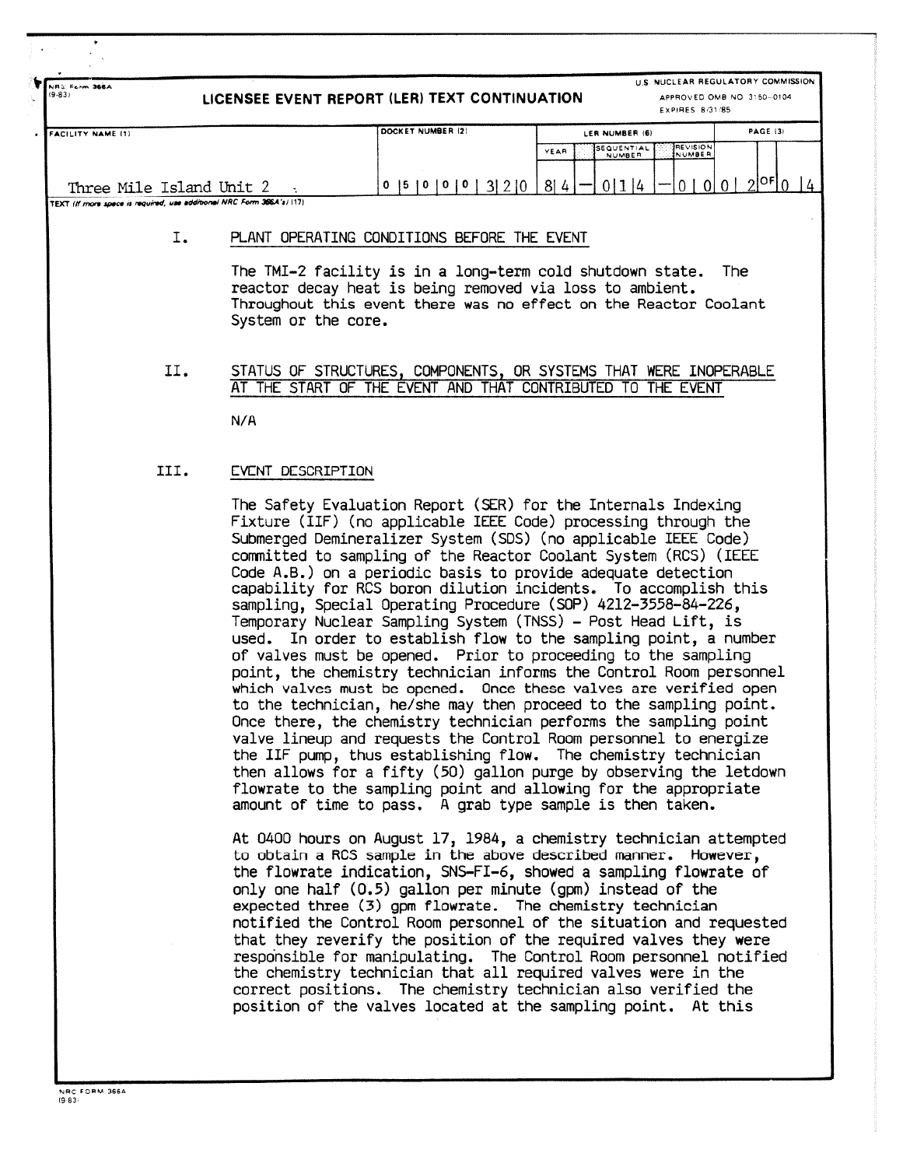.<br>NRS Ferm **366**A<br>19-831 LICENSEE EVENT REPORT (LER) TEXT CONTINUATION **U.S. NUCLEAR REGULATORY COMMISSION APPROVED OMB NO 3,50- 0104 EXPIRES 8/3118 <sup>5</sup>** FACILITY NAME (1) PAGE 13 PAGE 12 PAGE 121 LER NUMBER 161 LER NUMBER 161 LER NUMBER 161 PAGE 13 **SEQUENTIAL REVISIO <sup>N</sup>** YEA **NUMBER \_NUMBE <sup>R</sup>** <sup>R</sup> Three Mile Island Unit 2 **TEXT IN 'non spice is',quintet vat .ddioonN NRC form 36E4 <sup>1171</sup>** 0  $1510101013121084-01114 - 0101012$ <sup>OF</sup> $014$ I. PLANT OPERATING CONDITIONS BEFORE THE EVENT The TMI-2 facility is in a long-term cold shutdown state. The reactor decay heat is being removed via loss to ambient . Throughout this event there was no effect on the Reactor Coolant System or the core. II. STATUS OF STRUCTURES, COMPONENTS, OR SYSTEMS THAT WERE INOPERABLE AT THE START OF THE EVENT AND THAT CONTRIBUTED TO THE EVENT N/A III. EVENT DESCRIPTION The Safety Evaluation Report (SER) for the Internals Indexing Fixture (IIF) (no applicable IEEE Code) processing through the Submerged Demineralizer System (SOS) (no applicable IEEE Code ) committed to sampling of the Reactor Coolant System (RCS) (IEEE Code A.B.) on a periodic basis to provide adequate detection capability for RCS boron dilution incidents. To accomplish this sampling, Special Operating Procedure (SOP) 4212-3558-84-226 , Temporary Nuclear Sampling System (TNSS) - Post Head Lift, is used, In order to establish flow to the sampling point, a number of valves must be opened. Prior to proceeding to the sampling point, the chemistry technician informs the Control Room personnel which valves must be opened. Once these valves are verified open to the technician, he/she may then proceed to the sampling point . Once there, the chemistry technician performs the sampling point valve lineup and requests the Control Room personnel to energize

the IIF pump, thus establishing flow. The chemistry technician then allows for a fifty (50) gallon purge by observing the letdown flowrate to the sampling point and allowing for the appropriate amount of time to pass. A grab type sample is then taken.

At 0400 hours on August 17, 1984, a chemistry technician attempted to obtain a RCS sample in the above described manner. However, the flowrate indication, SNS-FI-6, showed a sampling flowrate of only one half  $(0.5)$  gallon per minute  $(gpm)$  instead of the expected three (3) gpm flowrate. The chemistry technician notified the Control Room personnel of the situation and requested that they reverify the position of the required valves they were responsible for manipulating. The Control Room personnel notified the chemistry technician that all required valves were in the correct positions. The chemistry technician also verified the position of the valves located at the sampling point. At this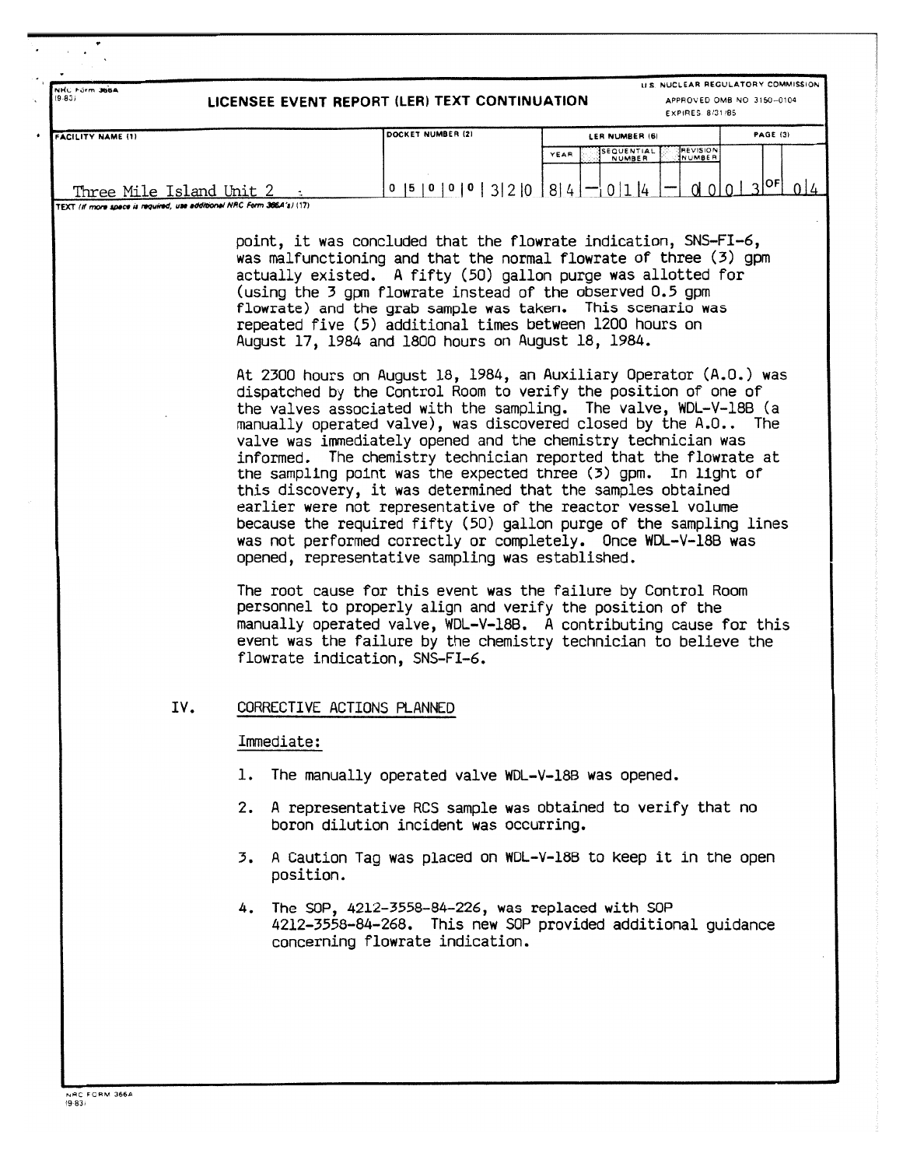| NHC Förm 366A<br>(9.83)                                                                            |                            | LICENSEE EVENT REPORT (LER) TEXT CONTINUATION                                                                                                                                                                                                                                                                                                                                                                                                                                                                                                                                                                                                                                                                                                                                                                | EXPIRES 8/31/85                                                                            | U.S. NUCLEAR REGULATORY COMMISSION<br>APPROVED OMB NO 3150-0104 |
|----------------------------------------------------------------------------------------------------|----------------------------|--------------------------------------------------------------------------------------------------------------------------------------------------------------------------------------------------------------------------------------------------------------------------------------------------------------------------------------------------------------------------------------------------------------------------------------------------------------------------------------------------------------------------------------------------------------------------------------------------------------------------------------------------------------------------------------------------------------------------------------------------------------------------------------------------------------|--------------------------------------------------------------------------------------------|-----------------------------------------------------------------|
| <b>FACILITY NAME (1)</b>                                                                           |                            | DOCKET NUMBER (2)<br>$0$  5   0   0   0   3   2   0   8   4   $-$   0   1   4                                                                                                                                                                                                                                                                                                                                                                                                                                                                                                                                                                                                                                                                                                                                | LER NUMBER (6)<br><b>REVISION</b><br>SEQUENTIAL<br>YEAR<br>NUMBER<br>NUMBER<br>$0\sqrt{0}$ | <b>PAGE (3)</b><br>$0   3 ^{OF}$<br>014                         |
| Three Mile Island Unit 2<br>TEXT (if more space is required, use additional NRC Form 366.4's) (17) |                            |                                                                                                                                                                                                                                                                                                                                                                                                                                                                                                                                                                                                                                                                                                                                                                                                              |                                                                                            |                                                                 |
|                                                                                                    |                            | point, it was concluded that the flowrate indication, SNS-FI-6,<br>was malfunctioning and that the normal flowrate of three (3) gpm<br>actually existed. A fifty (50) gallon purge was allotted for<br>(using the 3 gpm flowrate instead of the observed 0.5 gpm<br>flowrate) and the grab sample was taken. This scenario was<br>repeated five (5) additional times between 1200 hours on<br>August 17, 1984 and 1800 hours on August 18, 1984.                                                                                                                                                                                                                                                                                                                                                             |                                                                                            |                                                                 |
|                                                                                                    |                            | At 2300 hours on August 18, 1984, an Auxiliary Operator (A.O.) was<br>dispatched by the Control Room to verify the position of one of<br>the valves associated with the sampling. The valve, WDL-V-18B (a<br>manually operated valve), was discovered closed by the A.O The<br>valve was immediately opened and the chemistry technician was<br>informed. The chemistry technician reported that the flowrate at<br>the sampling point was the expected three (3) gpm. In light of<br>this discovery, it was determined that the samples obtained<br>earlier were not representative of the reactor vessel volume<br>because the required fifty (50) gallon purge of the sampling lines<br>was not performed correctly or completely. Once WDL-V-18B was<br>opened, representative sampling was established. |                                                                                            |                                                                 |
|                                                                                                    |                            | The root cause for this event was the failure by Control Room<br>personnel to properly align and verify the position of the<br>manually operated valve, WDL-V-18B. A contributing cause for this<br>event was the failure by the chemistry technician to believe the<br>flowrate indication, SNS-FI-6.                                                                                                                                                                                                                                                                                                                                                                                                                                                                                                       |                                                                                            |                                                                 |
| IV.                                                                                                | CORRECTIVE ACTIONS PLANNED |                                                                                                                                                                                                                                                                                                                                                                                                                                                                                                                                                                                                                                                                                                                                                                                                              |                                                                                            |                                                                 |
|                                                                                                    | Immediate:                 |                                                                                                                                                                                                                                                                                                                                                                                                                                                                                                                                                                                                                                                                                                                                                                                                              |                                                                                            |                                                                 |
|                                                                                                    |                            | 1. The manually operated valve WDL-V-18B was opened.                                                                                                                                                                                                                                                                                                                                                                                                                                                                                                                                                                                                                                                                                                                                                         |                                                                                            |                                                                 |
|                                                                                                    |                            | 2. A representative RCS sample was obtained to verify that no<br>boron dilution incident was occurring.                                                                                                                                                                                                                                                                                                                                                                                                                                                                                                                                                                                                                                                                                                      |                                                                                            |                                                                 |
|                                                                                                    | position.                  | 3. A Caution Tag was placed on WDL-V-18B to keep it in the open                                                                                                                                                                                                                                                                                                                                                                                                                                                                                                                                                                                                                                                                                                                                              |                                                                                            |                                                                 |
|                                                                                                    |                            | 4. The SOP, 4212-3558-84-226, was replaced with SOP<br>4212-3558-84-268. This new SOP provided additional guidance<br>concerning flowrate indication.                                                                                                                                                                                                                                                                                                                                                                                                                                                                                                                                                                                                                                                        |                                                                                            |                                                                 |
|                                                                                                    |                            |                                                                                                                                                                                                                                                                                                                                                                                                                                                                                                                                                                                                                                                                                                                                                                                                              |                                                                                            |                                                                 |
|                                                                                                    |                            |                                                                                                                                                                                                                                                                                                                                                                                                                                                                                                                                                                                                                                                                                                                                                                                                              |                                                                                            |                                                                 |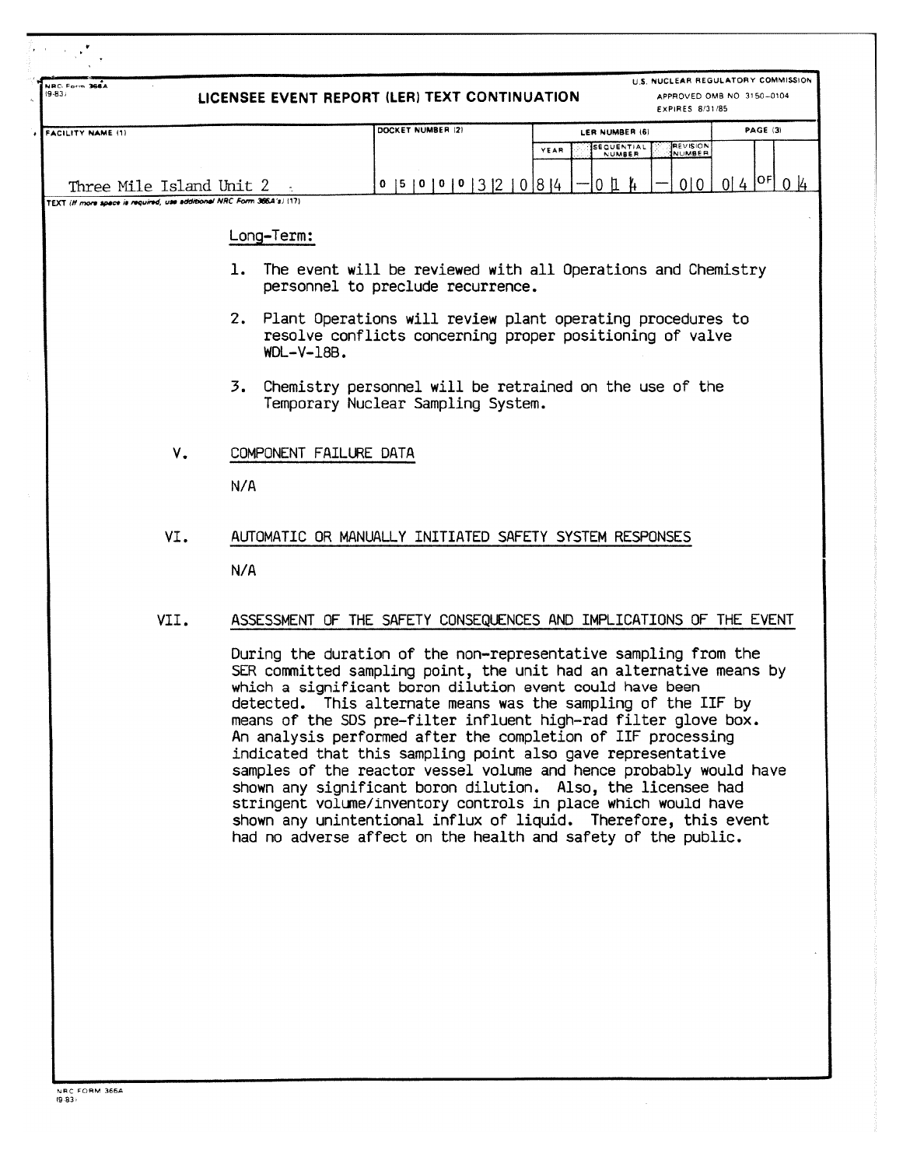| Three Mile Island Unit 2<br>TEXT (If more space is required, use additional NRC Form 366A's) (17)<br>Long-Term:<br>ı.<br>2.<br>$WDL-V-18B.$<br>3.<br>COMPONENT FAILURE DATA<br>N/A<br>N/A | DOCKET NUMBER (2)<br>$0$  5   0   0   0   3   2   0   8   4<br>The event will be reviewed with all Operations and Chemistry<br>personnel to preclude recurrence.<br>Plant Operations will review plant operating procedures to<br>resolve conflicts concerning proper positioning of valve<br>Chemistry personnel will be retrained on the use of the<br>Temporary Nuclear Sampling System.<br>AUTOMATIC OR MANUALLY INITIATED SAFETY SYSTEM RESPONSES | LER NUMBER (6)<br><b>SEQUENTIAL</b><br>YEAR<br>NUMBER<br>$0$ $\mu$ | <b>PAGE (3)</b><br><b>REVISION</b><br>NUMBER<br>$0   4  ^{OF}   0   4$<br>0 0                                                                                                                                                                                                                                                                                                                                                                                                                                                                                                                                                                                                                                                                |
|-------------------------------------------------------------------------------------------------------------------------------------------------------------------------------------------|--------------------------------------------------------------------------------------------------------------------------------------------------------------------------------------------------------------------------------------------------------------------------------------------------------------------------------------------------------------------------------------------------------------------------------------------------------|--------------------------------------------------------------------|----------------------------------------------------------------------------------------------------------------------------------------------------------------------------------------------------------------------------------------------------------------------------------------------------------------------------------------------------------------------------------------------------------------------------------------------------------------------------------------------------------------------------------------------------------------------------------------------------------------------------------------------------------------------------------------------------------------------------------------------|
|                                                                                                                                                                                           |                                                                                                                                                                                                                                                                                                                                                                                                                                                        |                                                                    |                                                                                                                                                                                                                                                                                                                                                                                                                                                                                                                                                                                                                                                                                                                                              |
|                                                                                                                                                                                           |                                                                                                                                                                                                                                                                                                                                                                                                                                                        |                                                                    |                                                                                                                                                                                                                                                                                                                                                                                                                                                                                                                                                                                                                                                                                                                                              |
|                                                                                                                                                                                           |                                                                                                                                                                                                                                                                                                                                                                                                                                                        |                                                                    |                                                                                                                                                                                                                                                                                                                                                                                                                                                                                                                                                                                                                                                                                                                                              |
|                                                                                                                                                                                           |                                                                                                                                                                                                                                                                                                                                                                                                                                                        |                                                                    |                                                                                                                                                                                                                                                                                                                                                                                                                                                                                                                                                                                                                                                                                                                                              |
|                                                                                                                                                                                           |                                                                                                                                                                                                                                                                                                                                                                                                                                                        |                                                                    |                                                                                                                                                                                                                                                                                                                                                                                                                                                                                                                                                                                                                                                                                                                                              |
|                                                                                                                                                                                           |                                                                                                                                                                                                                                                                                                                                                                                                                                                        |                                                                    |                                                                                                                                                                                                                                                                                                                                                                                                                                                                                                                                                                                                                                                                                                                                              |
|                                                                                                                                                                                           |                                                                                                                                                                                                                                                                                                                                                                                                                                                        |                                                                    |                                                                                                                                                                                                                                                                                                                                                                                                                                                                                                                                                                                                                                                                                                                                              |
|                                                                                                                                                                                           |                                                                                                                                                                                                                                                                                                                                                                                                                                                        |                                                                    |                                                                                                                                                                                                                                                                                                                                                                                                                                                                                                                                                                                                                                                                                                                                              |
|                                                                                                                                                                                           |                                                                                                                                                                                                                                                                                                                                                                                                                                                        |                                                                    |                                                                                                                                                                                                                                                                                                                                                                                                                                                                                                                                                                                                                                                                                                                                              |
|                                                                                                                                                                                           |                                                                                                                                                                                                                                                                                                                                                                                                                                                        |                                                                    |                                                                                                                                                                                                                                                                                                                                                                                                                                                                                                                                                                                                                                                                                                                                              |
|                                                                                                                                                                                           |                                                                                                                                                                                                                                                                                                                                                                                                                                                        |                                                                    |                                                                                                                                                                                                                                                                                                                                                                                                                                                                                                                                                                                                                                                                                                                                              |
|                                                                                                                                                                                           | ASSESSMENT OF THE SAFETY CONSEQUENCES AND IMPLICATIONS OF THE EVENT                                                                                                                                                                                                                                                                                                                                                                                    |                                                                    |                                                                                                                                                                                                                                                                                                                                                                                                                                                                                                                                                                                                                                                                                                                                              |
|                                                                                                                                                                                           | During the duration of the non-representative sampling from the                                                                                                                                                                                                                                                                                                                                                                                        |                                                                    |                                                                                                                                                                                                                                                                                                                                                                                                                                                                                                                                                                                                                                                                                                                                              |
|                                                                                                                                                                                           |                                                                                                                                                                                                                                                                                                                                                                                                                                                        |                                                                    | SER committed sampling point, the unit had an alternative means by<br>which a significant boron dilution event could have been<br>detected. This alternate means was the sampling of the IIF by<br>means of the SDS pre-filter influent high-rad filter glove box.<br>An analysis performed after the completion of IIF processing<br>indicated that this sampling point also gave representative<br>samples of the reactor vessel volume and hence probably would have<br>shown any significant boron dilution. Also, the licensee had<br>stringent volume/inventory controls in place which would have<br>shown any unintentional influx of liquid. Therefore, this event<br>had no adverse affect on the health and safety of the public. |

ĩ.